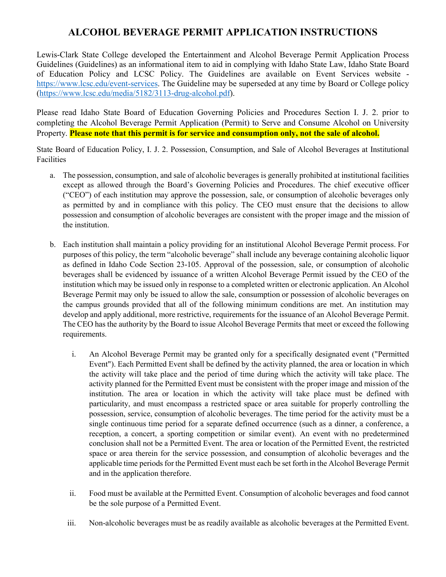# **ALCOHOL BEVERAGE PERMIT APPLICATION INSTRUCTIONS**

Lewis-Clark State College developed the Entertainment and Alcohol Beverage Permit Application Process Guidelines (Guidelines) as an informational item to aid in complying with Idaho State Law, Idaho State Board of Education Policy and LCSC Policy. The Guidelines are available on Event Services website [https://www.lcsc.edu/event-services.](https://www.lcsc.edu/event-services) The Guideline may be superseded at any time by Board or College policy [\(https://www.lcsc.edu/media/5182/3113-drug-alcohol.pdf\)](https://www.lcsc.edu/media/5182/3113-drug-alcohol.pdf).

Please read Idaho State Board of Education Governing Policies and Procedures Section I. J. 2. prior to completing the Alcohol Beverage Permit Application (Permit) to Serve and Consume Alcohol on University Property. **Please note that this permit is for service and consumption only, not the sale of alcohol.** 

State Board of Education Policy, I. J. 2. Possession, Consumption, and Sale of Alcohol Beverages at Institutional Facilities

- a. The possession, consumption, and sale of alcoholic beverages is generally prohibited at institutional facilities except as allowed through the Board's Governing Policies and Procedures. The chief executive officer ("CEO") of each institution may approve the possession, sale, or consumption of alcoholic beverages only as permitted by and in compliance with this policy. The CEO must ensure that the decisions to allow possession and consumption of alcoholic beverages are consistent with the proper image and the mission of the institution.
- b. Each institution shall maintain a policy providing for an institutional Alcohol Beverage Permit process. For purposes of this policy, the term "alcoholic beverage" shall include any beverage containing alcoholic liquor as defined in Idaho Code Section 23-105. Approval of the possession, sale, or consumption of alcoholic beverages shall be evidenced by issuance of a written Alcohol Beverage Permit issued by the CEO of the institution which may be issued only in response to a completed written or electronic application. An Alcohol Beverage Permit may only be issued to allow the sale, consumption or possession of alcoholic beverages on the campus grounds provided that all of the following minimum conditions are met. An institution may develop and apply additional, more restrictive, requirements for the issuance of an Alcohol Beverage Permit. The CEO has the authority by the Board to issue Alcohol Beverage Permits that meet or exceed the following requirements.
	- i. An Alcohol Beverage Permit may be granted only for a specifically designated event ("Permitted Event"). Each Permitted Event shall be defined by the activity planned, the area or location in which the activity will take place and the period of time during which the activity will take place. The activity planned for the Permitted Event must be consistent with the proper image and mission of the institution. The area or location in which the activity will take place must be defined with particularity, and must encompass a restricted space or area suitable for properly controlling the possession, service, consumption of alcoholic beverages. The time period for the activity must be a single continuous time period for a separate defined occurrence (such as a dinner, a conference, a reception, a concert, a sporting competition or similar event). An event with no predetermined conclusion shall not be a Permitted Event. The area or location of the Permitted Event, the restricted space or area therein for the service possession, and consumption of alcoholic beverages and the applicable time periods for the Permitted Event must each be set forth in the Alcohol Beverage Permit and in the application therefore.
	- ii. Food must be available at the Permitted Event. Consumption of alcoholic beverages and food cannot be the sole purpose of a Permitted Event.
	- iii. Non-alcoholic beverages must be as readily available as alcoholic beverages at the Permitted Event.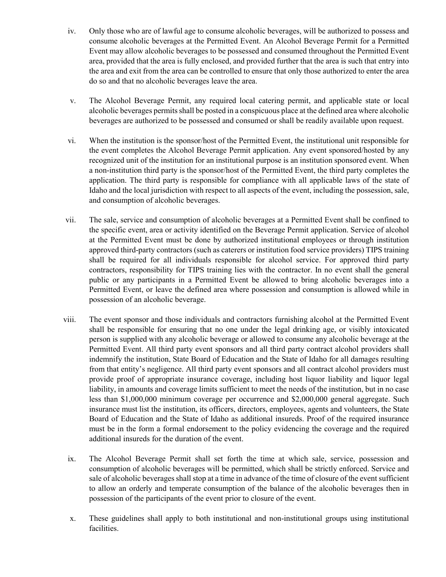- iv. Only those who are of lawful age to consume alcoholic beverages, will be authorized to possess and consume alcoholic beverages at the Permitted Event. An Alcohol Beverage Permit for a Permitted Event may allow alcoholic beverages to be possessed and consumed throughout the Permitted Event area, provided that the area is fully enclosed, and provided further that the area is such that entry into the area and exit from the area can be controlled to ensure that only those authorized to enter the area do so and that no alcoholic beverages leave the area.
- v. The Alcohol Beverage Permit, any required local catering permit, and applicable state or local alcoholic beverages permits shall be posted in a conspicuous place at the defined area where alcoholic beverages are authorized to be possessed and consumed or shall be readily available upon request.
- vi. When the institution is the sponsor/host of the Permitted Event, the institutional unit responsible for the event completes the Alcohol Beverage Permit application. Any event sponsored/hosted by any recognized unit of the institution for an institutional purpose is an institution sponsored event. When a non-institution third party is the sponsor/host of the Permitted Event, the third party completes the application. The third party is responsible for compliance with all applicable laws of the state of Idaho and the local jurisdiction with respect to all aspects of the event, including the possession, sale, and consumption of alcoholic beverages.
- vii. The sale, service and consumption of alcoholic beverages at a Permitted Event shall be confined to the specific event, area or activity identified on the Beverage Permit application. Service of alcohol at the Permitted Event must be done by authorized institutional employees or through institution approved third-party contractors (such as caterers or institution food service providers) TIPS training shall be required for all individuals responsible for alcohol service. For approved third party contractors, responsibility for TIPS training lies with the contractor. In no event shall the general public or any participants in a Permitted Event be allowed to bring alcoholic beverages into a Permitted Event, or leave the defined area where possession and consumption is allowed while in possession of an alcoholic beverage.
- viii. The event sponsor and those individuals and contractors furnishing alcohol at the Permitted Event shall be responsible for ensuring that no one under the legal drinking age, or visibly intoxicated person is supplied with any alcoholic beverage or allowed to consume any alcoholic beverage at the Permitted Event. All third party event sponsors and all third party contract alcohol providers shall indemnify the institution, State Board of Education and the State of Idaho for all damages resulting from that entity's negligence. All third party event sponsors and all contract alcohol providers must provide proof of appropriate insurance coverage, including host liquor liability and liquor legal liability, in amounts and coverage limits sufficient to meet the needs of the institution, but in no case less than \$1,000,000 minimum coverage per occurrence and \$2,000,000 general aggregate. Such insurance must list the institution, its officers, directors, employees, agents and volunteers, the State Board of Education and the State of Idaho as additional insureds. Proof of the required insurance must be in the form a formal endorsement to the policy evidencing the coverage and the required additional insureds for the duration of the event.
- ix. The Alcohol Beverage Permit shall set forth the time at which sale, service, possession and consumption of alcoholic beverages will be permitted, which shall be strictly enforced. Service and sale of alcoholic beverages shall stop at a time in advance of the time of closure of the event sufficient to allow an orderly and temperate consumption of the balance of the alcoholic beverages then in possession of the participants of the event prior to closure of the event.
- x. These guidelines shall apply to both institutional and non-institutional groups using institutional facilities.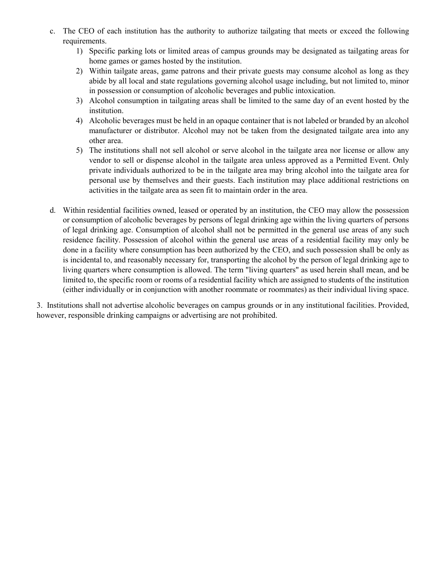- c. The CEO of each institution has the authority to authorize tailgating that meets or exceed the following requirements.
	- 1) Specific parking lots or limited areas of campus grounds may be designated as tailgating areas for home games or games hosted by the institution.
	- 2) Within tailgate areas, game patrons and their private guests may consume alcohol as long as they abide by all local and state regulations governing alcohol usage including, but not limited to, minor in possession or consumption of alcoholic beverages and public intoxication.
	- 3) Alcohol consumption in tailgating areas shall be limited to the same day of an event hosted by the institution.
	- 4) Alcoholic beverages must be held in an opaque container that is not labeled or branded by an alcohol manufacturer or distributor. Alcohol may not be taken from the designated tailgate area into any other area.
	- 5) The institutions shall not sell alcohol or serve alcohol in the tailgate area nor license or allow any vendor to sell or dispense alcohol in the tailgate area unless approved as a Permitted Event. Only private individuals authorized to be in the tailgate area may bring alcohol into the tailgate area for personal use by themselves and their guests. Each institution may place additional restrictions on activities in the tailgate area as seen fit to maintain order in the area.
- d. Within residential facilities owned, leased or operated by an institution, the CEO may allow the possession or consumption of alcoholic beverages by persons of legal drinking age within the living quarters of persons of legal drinking age. Consumption of alcohol shall not be permitted in the general use areas of any such residence facility. Possession of alcohol within the general use areas of a residential facility may only be done in a facility where consumption has been authorized by the CEO, and such possession shall be only as is incidental to, and reasonably necessary for, transporting the alcohol by the person of legal drinking age to living quarters where consumption is allowed. The term "living quarters" as used herein shall mean, and be limited to, the specific room or rooms of a residential facility which are assigned to students of the institution (either individually or in conjunction with another roommate or roommates) as their individual living space.

3. Institutions shall not advertise alcoholic beverages on campus grounds or in any institutional facilities. Provided, however, responsible drinking campaigns or advertising are not prohibited.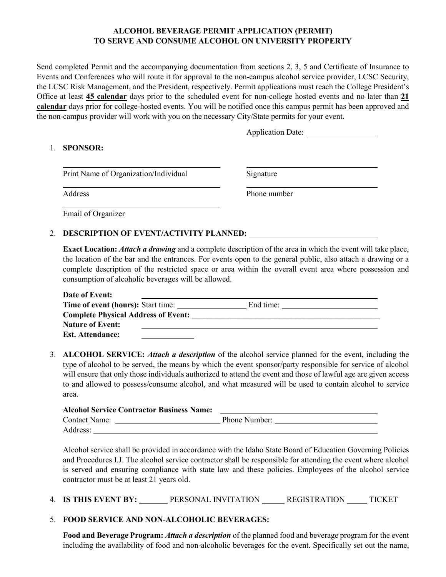### **ALCOHOL BEVERAGE PERMIT APPLICATION (PERMIT) TO SERVE AND CONSUME ALCOHOL ON UNIVERSITY PROPERTY**

Send completed Permit and the accompanying documentation from sections 2, 3, 5 and Certificate of Insurance to Events and Conferences who will route it for approval to the non-campus alcohol service provider, LCSC Security, the LCSC Risk Management, and the President, respectively. Permit applications must reach the College President's Office at least **45 calendar** days prior to the scheduled event for non-college hosted events and no later than **21 calendar** days prior for college-hosted events. You will be notified once this campus permit has been approved and the non-campus provider will work with you on the necessary City/State permits for your event.

Application Date:

### 1. **SPONSOR:**

Print Name of Organization/Individual Signature

Address Phone number

Email of Organizer

### 2. **DESCRIPTION OF EVENT/ACTIVITY PLANNED:**

**Exact Location:** *Attach a drawing* and a complete description of the area in which the event will take place, the location of the bar and the entrances. For events open to the general public, also attach a drawing or a complete description of the restricted space or area within the overall event area where possession and consumption of alcoholic beverages will be allowed.

| Date of Event:                             |           |
|--------------------------------------------|-----------|
| <b>Time of event (hours):</b> Start time:  | End time: |
| <b>Complete Physical Address of Event:</b> |           |
| <b>Nature of Event:</b>                    |           |
| <b>Est. Attendance:</b>                    |           |

3. **ALCOHOL SERVICE:** *Attach a description* of the alcohol service planned for the event, including the type of alcohol to be served, the means by which the event sponsor/party responsible for service of alcohol will ensure that only those individuals authorized to attend the event and those of lawful age are given access to and allowed to possess/consume alcohol, and what measured will be used to contain alcohol to service area.

| <b>Alcohol Service Contractor Business Name:</b> |               |
|--------------------------------------------------|---------------|
| <b>Contact Name:</b>                             | Phone Number: |
| Address:                                         |               |

Alcohol service shall be provided in accordance with the Idaho State Board of Education Governing Policies and Procedures I.J. The alcohol service contractor shall be responsible for attending the event where alcohol is served and ensuring compliance with state law and these policies. Employees of the alcohol service contractor must be at least 21 years old.

4. **IS THIS EVENT BY:** PERSONAL INVITATION REGISTRATION TICKET

## 5. **FOOD SERVICE AND NON-ALCOHOLIC BEVERAGES:**

**Food and Beverage Program:** *Attach a description* of the planned food and beverage program for the event including the availability of food and non-alcoholic beverages for the event. Specifically set out the name,